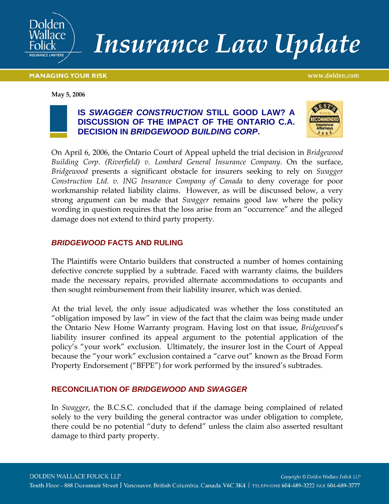

# **Insurance Law Update**

**MANAGING YOUR RISK** 

www.dolden.com

**May 5, 2006**





On April 6, 2006, the Ontario Court of Appeal upheld the trial decision in *Bridgewood Building Corp. (Riverfield) v. Lombard General Insurance Company*. On the surface, *Bridgewood* presents a significant obstacle for insurers seeking to rely on *Swagger Construction Ltd. v. ING Insurance Company of Canada* to deny coverage for poor workmanship related liability claims. However, as will be discussed below, a very strong argument can be made that *Swagger* remains good law where the policy wording in question requires that the loss arise from an "occurrence" and the alleged damage does not extend to third party property.

## *BRIDGEWOOD* **FACTS AND RULING**

The Plaintiffs were Ontario builders that constructed a number of homes containing defective concrete supplied by a subtrade. Faced with warranty claims, the builders made the necessary repairs, provided alternate accommodations to occupants and then sought reimbursement from their liability insurer, which was denied.

At the trial level, the only issue adjudicated was whether the loss constituted an "obligation imposed by law" in view of the fact that the claim was being made under the Ontario New Home Warranty program. Having lost on that issue, *Bridgewood*'s liability insurer confined its appeal argument to the potential application of the policy's "your work" exclusion. Ultimately, the insurer lost in the Court of Appeal because the "your work" exclusion contained a "carve out" known as the Broad Form Property Endorsement ("BFPE") for work performed by the insured's subtrades.

## **RECONCILIATION OF** *BRIDGEWOOD* **AND** *SWAGGER*

In *Swagger*, the B.C.S.C. concluded that if the damage being complained of related solely to the very building the general contractor was under obligation to complete, there could be no potential "duty to defend" unless the claim also asserted resultant damage to third party property.